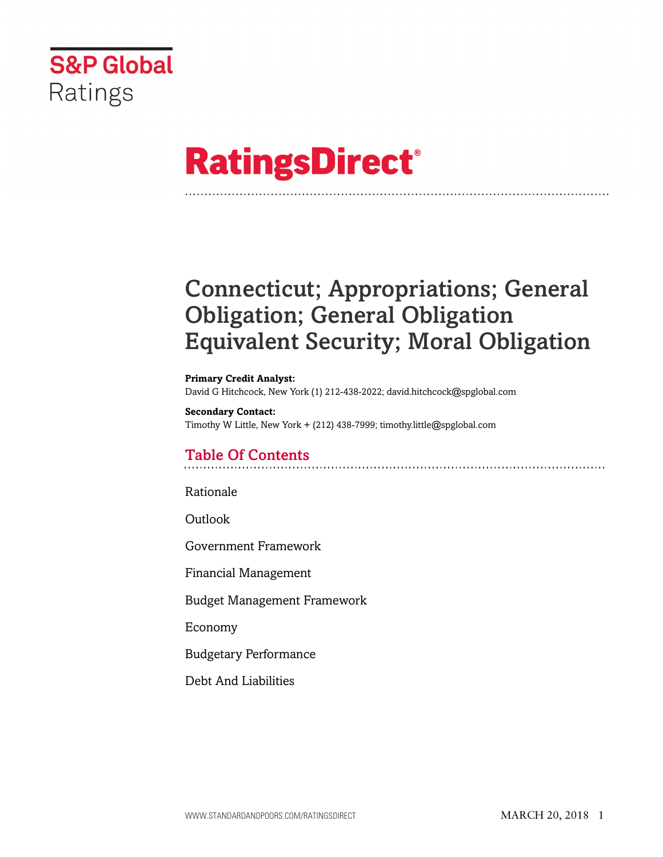

# **RatingsDirect®**

# Connecticut; Appropriations; General Obligation; General Obligation Equivalent Security; Moral Obligation

#### **Primary Credit Analyst:** David G Hitchcock, New York (1) 212-438-2022; david.hitchcock@spglobal.com

**Secondary Contact:** Timothy W Little, New York + (212) 438-7999; timothy.little@spglobal.com

# Table Of Contents

[Rationale](#page-1-0)

[Outlook](#page-5-0)

[Government Framework](#page-5-1)

[Financial Management](#page-7-0)

[Budget Management Framework](#page-7-1)

[Economy](#page-8-0)

[Budgetary Performance](#page-9-0)

[Debt And Liabilities](#page-11-0)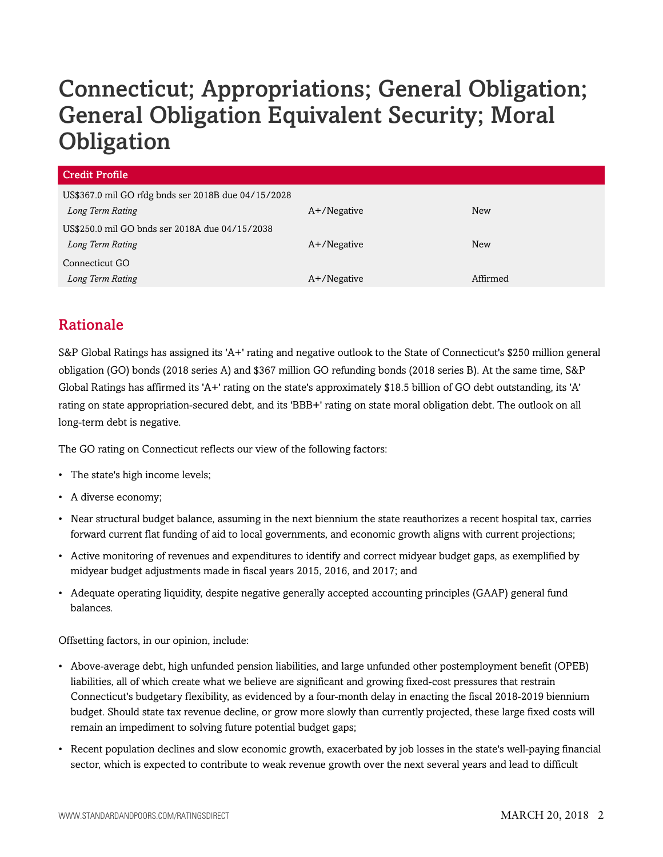# Connecticut; Appropriations; General Obligation; General Obligation Equivalent Security; Moral **Obligation**

| <b>Credit Profile</b>                               |                |          |  |
|-----------------------------------------------------|----------------|----------|--|
| US\$367.0 mil GO rfdg bnds ser 2018B due 04/15/2028 |                |          |  |
| Long Term Rating                                    | $A+$ /Negative | New      |  |
| US\$250.0 mil GO bnds ser 2018A due 04/15/2038      |                |          |  |
| Long Term Rating                                    | $A+$ /Negative | New      |  |
| Connecticut GO                                      |                |          |  |
| Long Term Rating                                    | A+/Negative    | Affirmed |  |

# <span id="page-1-0"></span>Rationale

S&P Global Ratings has assigned its 'A+' rating and negative outlook to the State of Connecticut's \$250 million general obligation (GO) bonds (2018 series A) and \$367 million GO refunding bonds (2018 series B). At the same time, S&P Global Ratings has affirmed its 'A+' rating on the state's approximately \$18.5 billion of GO debt outstanding, its 'A' rating on state appropriation-secured debt, and its 'BBB+' rating on state moral obligation debt. The outlook on all long-term debt is negative.

The GO rating on Connecticut reflects our view of the following factors:

- The state's high income levels;
- A diverse economy;
- Near structural budget balance, assuming in the next biennium the state reauthorizes a recent hospital tax, carries forward current flat funding of aid to local governments, and economic growth aligns with current projections;
- Active monitoring of revenues and expenditures to identify and correct midyear budget gaps, as exemplified by midyear budget adjustments made in fiscal years 2015, 2016, and 2017; and
- Adequate operating liquidity, despite negative generally accepted accounting principles (GAAP) general fund balances.

Offsetting factors, in our opinion, include:

- Above-average debt, high unfunded pension liabilities, and large unfunded other postemployment benefit (OPEB) liabilities, all of which create what we believe are significant and growing fixed-cost pressures that restrain Connecticut's budgetary flexibility, as evidenced by a four-month delay in enacting the fiscal 2018-2019 biennium budget. Should state tax revenue decline, or grow more slowly than currently projected, these large fixed costs will remain an impediment to solving future potential budget gaps;
- Recent population declines and slow economic growth, exacerbated by job losses in the state's well-paying financial sector, which is expected to contribute to weak revenue growth over the next several years and lead to difficult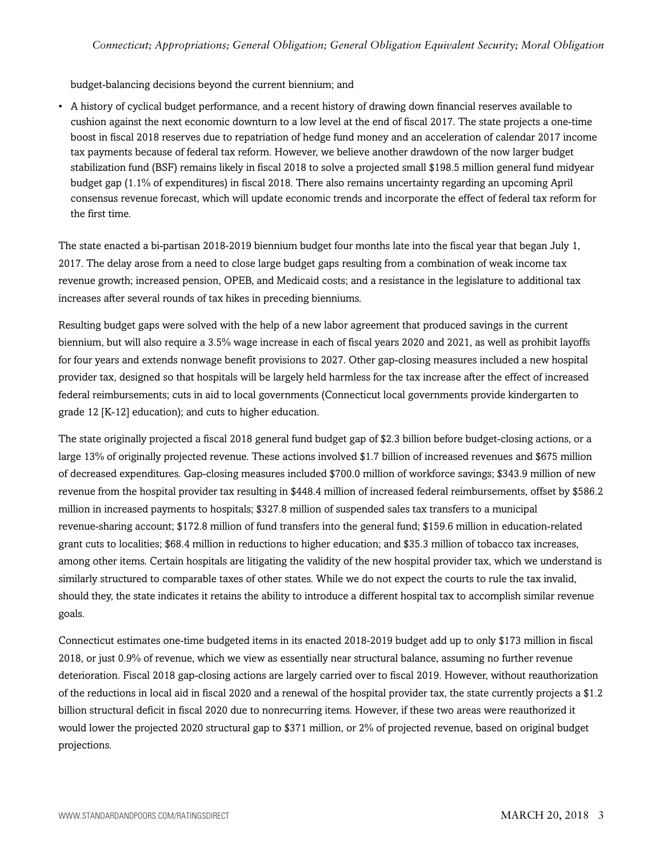budget-balancing decisions beyond the current biennium; and

• A history of cyclical budget performance, and a recent history of drawing down financial reserves available to cushion against the next economic downturn to a low level at the end of fiscal 2017. The state projects a one-time boost in fiscal 2018 reserves due to repatriation of hedge fund money and an acceleration of calendar 2017 income tax payments because of federal tax reform. However, we believe another drawdown of the now larger budget stabilization fund (BSF) remains likely in fiscal 2018 to solve a projected small \$198.5 million general fund midyear budget gap (1.1% of expenditures) in fiscal 2018. There also remains uncertainty regarding an upcoming April consensus revenue forecast, which will update economic trends and incorporate the effect of federal tax reform for the first time.

The state enacted a bi-partisan 2018-2019 biennium budget four months late into the fiscal year that began July 1, 2017. The delay arose from a need to close large budget gaps resulting from a combination of weak income tax revenue growth; increased pension, OPEB, and Medicaid costs; and a resistance in the legislature to additional tax increases after several rounds of tax hikes in preceding bienniums.

Resulting budget gaps were solved with the help of a new labor agreement that produced savings in the current biennium, but will also require a 3.5% wage increase in each of fiscal years 2020 and 2021, as well as prohibit layoffs for four years and extends nonwage benefit provisions to 2027. Other gap-closing measures included a new hospital provider tax, designed so that hospitals will be largely held harmless for the tax increase after the effect of increased federal reimbursements; cuts in aid to local governments (Connecticut local governments provide kindergarten to grade 12 [K-12] education); and cuts to higher education.

The state originally projected a fiscal 2018 general fund budget gap of \$2.3 billion before budget-closing actions, or a large 13% of originally projected revenue. These actions involved \$1.7 billion of increased revenues and \$675 million of decreased expenditures. Gap-closing measures included \$700.0 million of workforce savings; \$343.9 million of new revenue from the hospital provider tax resulting in \$448.4 million of increased federal reimbursements, offset by \$586.2 million in increased payments to hospitals; \$327.8 million of suspended sales tax transfers to a municipal revenue-sharing account; \$172.8 million of fund transfers into the general fund; \$159.6 million in education-related grant cuts to localities; \$68.4 million in reductions to higher education; and \$35.3 million of tobacco tax increases, among other items. Certain hospitals are litigating the validity of the new hospital provider tax, which we understand is similarly structured to comparable taxes of other states. While we do not expect the courts to rule the tax invalid, should they, the state indicates it retains the ability to introduce a different hospital tax to accomplish similar revenue goals.

Connecticut estimates one-time budgeted items in its enacted 2018-2019 budget add up to only \$173 million in fiscal 2018, or just 0.9% of revenue, which we view as essentially near structural balance, assuming no further revenue deterioration. Fiscal 2018 gap-closing actions are largely carried over to fiscal 2019. However, without reauthorization of the reductions in local aid in fiscal 2020 and a renewal of the hospital provider tax, the state currently projects a \$1.2 billion structural deficit in fiscal 2020 due to nonrecurring items. However, if these two areas were reauthorized it would lower the projected 2020 structural gap to \$371 million, or 2% of projected revenue, based on original budget projections.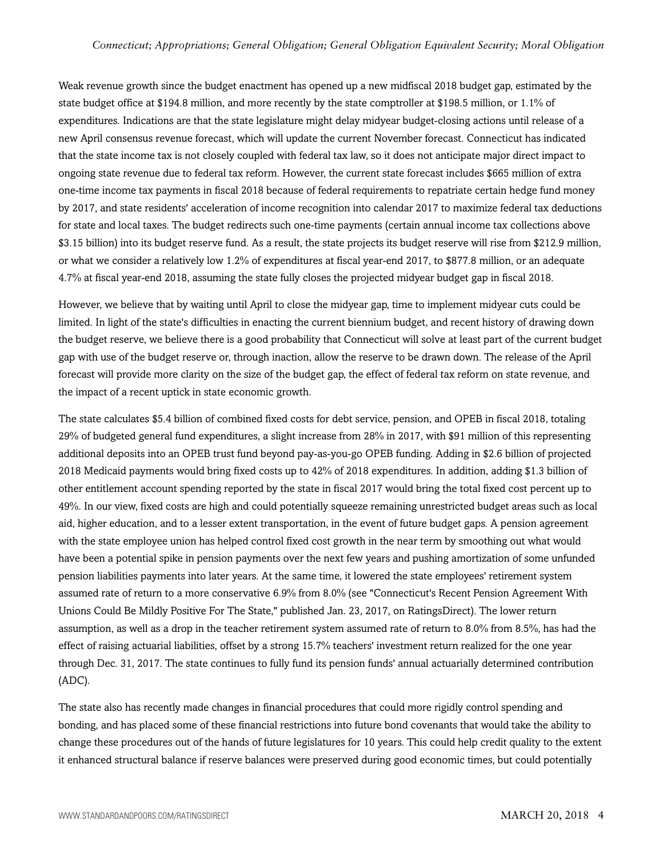Weak revenue growth since the budget enactment has opened up a new midfiscal 2018 budget gap, estimated by the state budget office at \$194.8 million, and more recently by the state comptroller at \$198.5 million, or 1.1% of expenditures. Indications are that the state legislature might delay midyear budget-closing actions until release of a new April consensus revenue forecast, which will update the current November forecast. Connecticut has indicated that the state income tax is not closely coupled with federal tax law, so it does not anticipate major direct impact to ongoing state revenue due to federal tax reform. However, the current state forecast includes \$665 million of extra one-time income tax payments in fiscal 2018 because of federal requirements to repatriate certain hedge fund money by 2017, and state residents' acceleration of income recognition into calendar 2017 to maximize federal tax deductions for state and local taxes. The budget redirects such one-time payments (certain annual income tax collections above \$3.15 billion) into its budget reserve fund. As a result, the state projects its budget reserve will rise from \$212.9 million, or what we consider a relatively low 1.2% of expenditures at fiscal year-end 2017, to \$877.8 million, or an adequate 4.7% at fiscal year-end 2018, assuming the state fully closes the projected midyear budget gap in fiscal 2018.

However, we believe that by waiting until April to close the midyear gap, time to implement midyear cuts could be limited. In light of the state's difficulties in enacting the current biennium budget, and recent history of drawing down the budget reserve, we believe there is a good probability that Connecticut will solve at least part of the current budget gap with use of the budget reserve or, through inaction, allow the reserve to be drawn down. The release of the April forecast will provide more clarity on the size of the budget gap, the effect of federal tax reform on state revenue, and the impact of a recent uptick in state economic growth.

The state calculates \$5.4 billion of combined fixed costs for debt service, pension, and OPEB in fiscal 2018, totaling 29% of budgeted general fund expenditures, a slight increase from 28% in 2017, with \$91 million of this representing additional deposits into an OPEB trust fund beyond pay-as-you-go OPEB funding. Adding in \$2.6 billion of projected 2018 Medicaid payments would bring fixed costs up to 42% of 2018 expenditures. In addition, adding \$1.3 billion of other entitlement account spending reported by the state in fiscal 2017 would bring the total fixed cost percent up to 49%. In our view, fixed costs are high and could potentially squeeze remaining unrestricted budget areas such as local aid, higher education, and to a lesser extent transportation, in the event of future budget gaps. A pension agreement with the state employee union has helped control fixed cost growth in the near term by smoothing out what would have been a potential spike in pension payments over the next few years and pushing amortization of some unfunded pension liabilities payments into later years. At the same time, it lowered the state employees' retirement system assumed rate of return to a more conservative 6.9% from 8.0% (see "Connecticut's Recent Pension Agreement With Unions Could Be Mildly Positive For The State," published Jan. 23, 2017, on RatingsDirect). The lower return assumption, as well as a drop in the teacher retirement system assumed rate of return to 8.0% from 8.5%, has had the effect of raising actuarial liabilities, offset by a strong 15.7% teachers' investment return realized for the one year through Dec. 31, 2017. The state continues to fully fund its pension funds' annual actuarially determined contribution (ADC).

The state also has recently made changes in financial procedures that could more rigidly control spending and bonding, and has placed some of these financial restrictions into future bond covenants that would take the ability to change these procedures out of the hands of future legislatures for 10 years. This could help credit quality to the extent it enhanced structural balance if reserve balances were preserved during good economic times, but could potentially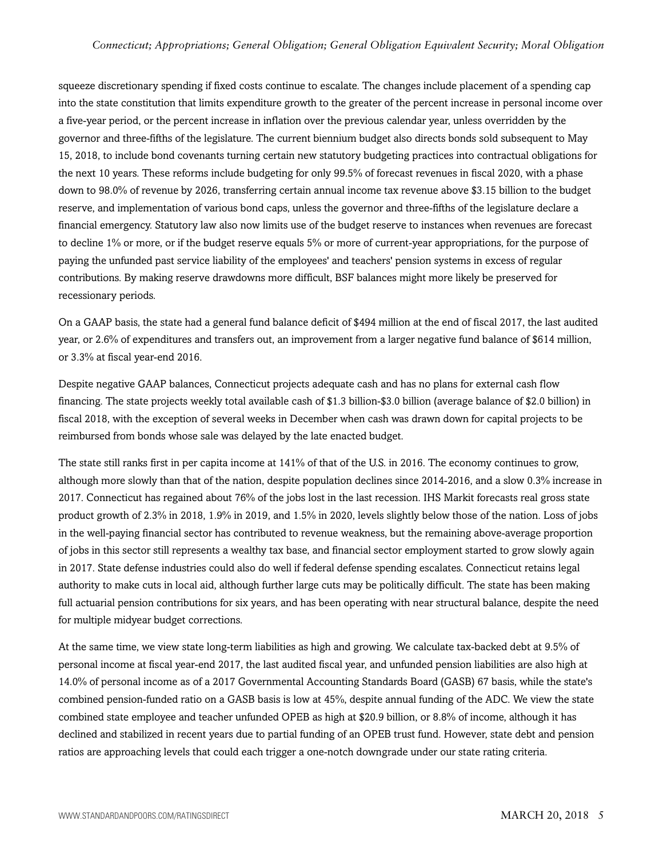#### *Connecticut; Appropriations; General Obligation; General Obligation Equivalent Security; Moral Obligation*

squeeze discretionary spending if fixed costs continue to escalate. The changes include placement of a spending cap into the state constitution that limits expenditure growth to the greater of the percent increase in personal income over a five-year period, or the percent increase in inflation over the previous calendar year, unless overridden by the governor and three-fifths of the legislature. The current biennium budget also directs bonds sold subsequent to May 15, 2018, to include bond covenants turning certain new statutory budgeting practices into contractual obligations for the next 10 years. These reforms include budgeting for only 99.5% of forecast revenues in fiscal 2020, with a phase down to 98.0% of revenue by 2026, transferring certain annual income tax revenue above \$3.15 billion to the budget reserve, and implementation of various bond caps, unless the governor and three-fifths of the legislature declare a financial emergency. Statutory law also now limits use of the budget reserve to instances when revenues are forecast to decline 1% or more, or if the budget reserve equals 5% or more of current-year appropriations, for the purpose of paying the unfunded past service liability of the employees' and teachers' pension systems in excess of regular contributions. By making reserve drawdowns more difficult, BSF balances might more likely be preserved for recessionary periods.

On a GAAP basis, the state had a general fund balance deficit of \$494 million at the end of fiscal 2017, the last audited year, or 2.6% of expenditures and transfers out, an improvement from a larger negative fund balance of \$614 million, or 3.3% at fiscal year-end 2016.

Despite negative GAAP balances, Connecticut projects adequate cash and has no plans for external cash flow financing. The state projects weekly total available cash of \$1.3 billion-\$3.0 billion (average balance of \$2.0 billion) in fiscal 2018, with the exception of several weeks in December when cash was drawn down for capital projects to be reimbursed from bonds whose sale was delayed by the late enacted budget.

The state still ranks first in per capita income at 141% of that of the U.S. in 2016. The economy continues to grow, although more slowly than that of the nation, despite population declines since 2014-2016, and a slow 0.3% increase in 2017. Connecticut has regained about 76% of the jobs lost in the last recession. IHS Markit forecasts real gross state product growth of 2.3% in 2018, 1.9% in 2019, and 1.5% in 2020, levels slightly below those of the nation. Loss of jobs in the well-paying financial sector has contributed to revenue weakness, but the remaining above-average proportion of jobs in this sector still represents a wealthy tax base, and financial sector employment started to grow slowly again in 2017. State defense industries could also do well if federal defense spending escalates. Connecticut retains legal authority to make cuts in local aid, although further large cuts may be politically difficult. The state has been making full actuarial pension contributions for six years, and has been operating with near structural balance, despite the need for multiple midyear budget corrections.

At the same time, we view state long-term liabilities as high and growing. We calculate tax-backed debt at 9.5% of personal income at fiscal year-end 2017, the last audited fiscal year, and unfunded pension liabilities are also high at 14.0% of personal income as of a 2017 Governmental Accounting Standards Board (GASB) 67 basis, while the state's combined pension-funded ratio on a GASB basis is low at 45%, despite annual funding of the ADC. We view the state combined state employee and teacher unfunded OPEB as high at \$20.9 billion, or 8.8% of income, although it has declined and stabilized in recent years due to partial funding of an OPEB trust fund. However, state debt and pension ratios are approaching levels that could each trigger a one-notch downgrade under our state rating criteria.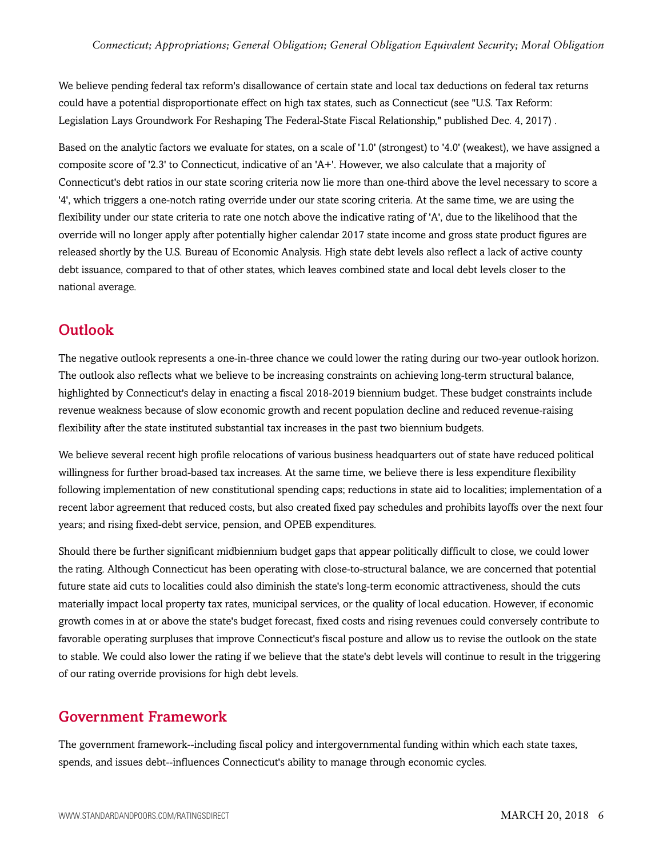We believe pending federal tax reform's disallowance of certain state and local tax deductions on federal tax returns could have a potential disproportionate effect on high tax states, such as Connecticut (see "U.S. Tax Reform: Legislation Lays Groundwork For Reshaping The Federal-State Fiscal Relationship," published Dec. 4, 2017) .

Based on the analytic factors we evaluate for states, on a scale of '1.0' (strongest) to '4.0' (weakest), we have assigned a composite score of '2.3' to Connecticut, indicative of an 'A+'. However, we also calculate that a majority of Connecticut's debt ratios in our state scoring criteria now lie more than one-third above the level necessary to score a '4', which triggers a one-notch rating override under our state scoring criteria. At the same time, we are using the flexibility under our state criteria to rate one notch above the indicative rating of 'A', due to the likelihood that the override will no longer apply after potentially higher calendar 2017 state income and gross state product figures are released shortly by the U.S. Bureau of Economic Analysis. High state debt levels also reflect a lack of active county debt issuance, compared to that of other states, which leaves combined state and local debt levels closer to the national average.

# <span id="page-5-0"></span>**Outlook**

The negative outlook represents a one-in-three chance we could lower the rating during our two-year outlook horizon. The outlook also reflects what we believe to be increasing constraints on achieving long-term structural balance, highlighted by Connecticut's delay in enacting a fiscal 2018-2019 biennium budget. These budget constraints include revenue weakness because of slow economic growth and recent population decline and reduced revenue-raising flexibility after the state instituted substantial tax increases in the past two biennium budgets.

We believe several recent high profile relocations of various business headquarters out of state have reduced political willingness for further broad-based tax increases. At the same time, we believe there is less expenditure flexibility following implementation of new constitutional spending caps; reductions in state aid to localities; implementation of a recent labor agreement that reduced costs, but also created fixed pay schedules and prohibits layoffs over the next four years; and rising fixed-debt service, pension, and OPEB expenditures.

Should there be further significant midbiennium budget gaps that appear politically difficult to close, we could lower the rating. Although Connecticut has been operating with close-to-structural balance, we are concerned that potential future state aid cuts to localities could also diminish the state's long-term economic attractiveness, should the cuts materially impact local property tax rates, municipal services, or the quality of local education. However, if economic growth comes in at or above the state's budget forecast, fixed costs and rising revenues could conversely contribute to favorable operating surpluses that improve Connecticut's fiscal posture and allow us to revise the outlook on the state to stable. We could also lower the rating if we believe that the state's debt levels will continue to result in the triggering of our rating override provisions for high debt levels.

### <span id="page-5-1"></span>Government Framework

The government framework--including fiscal policy and intergovernmental funding within which each state taxes, spends, and issues debt--influences Connecticut's ability to manage through economic cycles.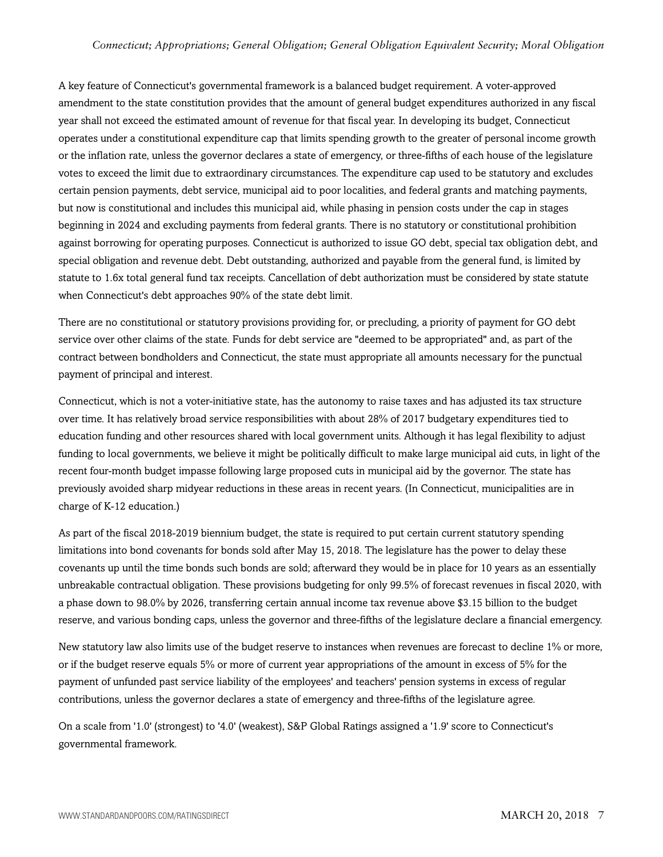#### *Connecticut; Appropriations; General Obligation; General Obligation Equivalent Security; Moral Obligation*

A key feature of Connecticut's governmental framework is a balanced budget requirement. A voter-approved amendment to the state constitution provides that the amount of general budget expenditures authorized in any fiscal year shall not exceed the estimated amount of revenue for that fiscal year. In developing its budget, Connecticut operates under a constitutional expenditure cap that limits spending growth to the greater of personal income growth or the inflation rate, unless the governor declares a state of emergency, or three-fifths of each house of the legislature votes to exceed the limit due to extraordinary circumstances. The expenditure cap used to be statutory and excludes certain pension payments, debt service, municipal aid to poor localities, and federal grants and matching payments, but now is constitutional and includes this municipal aid, while phasing in pension costs under the cap in stages beginning in 2024 and excluding payments from federal grants. There is no statutory or constitutional prohibition against borrowing for operating purposes. Connecticut is authorized to issue GO debt, special tax obligation debt, and special obligation and revenue debt. Debt outstanding, authorized and payable from the general fund, is limited by statute to 1.6x total general fund tax receipts. Cancellation of debt authorization must be considered by state statute when Connecticut's debt approaches 90% of the state debt limit.

There are no constitutional or statutory provisions providing for, or precluding, a priority of payment for GO debt service over other claims of the state. Funds for debt service are "deemed to be appropriated" and, as part of the contract between bondholders and Connecticut, the state must appropriate all amounts necessary for the punctual payment of principal and interest.

Connecticut, which is not a voter-initiative state, has the autonomy to raise taxes and has adjusted its tax structure over time. It has relatively broad service responsibilities with about 28% of 2017 budgetary expenditures tied to education funding and other resources shared with local government units. Although it has legal flexibility to adjust funding to local governments, we believe it might be politically difficult to make large municipal aid cuts, in light of the recent four-month budget impasse following large proposed cuts in municipal aid by the governor. The state has previously avoided sharp midyear reductions in these areas in recent years. (In Connecticut, municipalities are in charge of K-12 education.)

As part of the fiscal 2018-2019 biennium budget, the state is required to put certain current statutory spending limitations into bond covenants for bonds sold after May 15, 2018. The legislature has the power to delay these covenants up until the time bonds such bonds are sold; afterward they would be in place for 10 years as an essentially unbreakable contractual obligation. These provisions budgeting for only 99.5% of forecast revenues in fiscal 2020, with a phase down to 98.0% by 2026, transferring certain annual income tax revenue above \$3.15 billion to the budget reserve, and various bonding caps, unless the governor and three-fifths of the legislature declare a financial emergency.

New statutory law also limits use of the budget reserve to instances when revenues are forecast to decline 1% or more, or if the budget reserve equals 5% or more of current year appropriations of the amount in excess of 5% for the payment of unfunded past service liability of the employees' and teachers' pension systems in excess of regular contributions, unless the governor declares a state of emergency and three-fifths of the legislature agree.

On a scale from '1.0' (strongest) to '4.0' (weakest), S&P Global Ratings assigned a '1.9' score to Connecticut's governmental framework.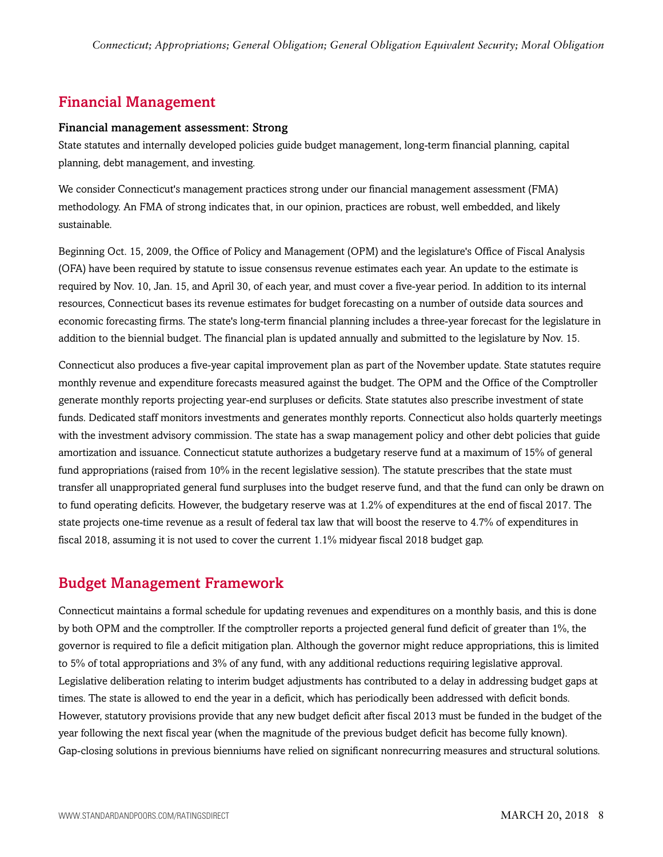# <span id="page-7-0"></span>Financial Management

#### Financial management assessment: Strong

State statutes and internally developed policies guide budget management, long-term financial planning, capital planning, debt management, and investing.

We consider Connecticut's management practices strong under our financial management assessment (FMA) methodology. An FMA of strong indicates that, in our opinion, practices are robust, well embedded, and likely sustainable.

Beginning Oct. 15, 2009, the Office of Policy and Management (OPM) and the legislature's Office of Fiscal Analysis (OFA) have been required by statute to issue consensus revenue estimates each year. An update to the estimate is required by Nov. 10, Jan. 15, and April 30, of each year, and must cover a five-year period. In addition to its internal resources, Connecticut bases its revenue estimates for budget forecasting on a number of outside data sources and economic forecasting firms. The state's long-term financial planning includes a three-year forecast for the legislature in addition to the biennial budget. The financial plan is updated annually and submitted to the legislature by Nov. 15.

Connecticut also produces a five-year capital improvement plan as part of the November update. State statutes require monthly revenue and expenditure forecasts measured against the budget. The OPM and the Office of the Comptroller generate monthly reports projecting year-end surpluses or deficits. State statutes also prescribe investment of state funds. Dedicated staff monitors investments and generates monthly reports. Connecticut also holds quarterly meetings with the investment advisory commission. The state has a swap management policy and other debt policies that guide amortization and issuance. Connecticut statute authorizes a budgetary reserve fund at a maximum of 15% of general fund appropriations (raised from 10% in the recent legislative session). The statute prescribes that the state must transfer all unappropriated general fund surpluses into the budget reserve fund, and that the fund can only be drawn on to fund operating deficits. However, the budgetary reserve was at 1.2% of expenditures at the end of fiscal 2017. The state projects one-time revenue as a result of federal tax law that will boost the reserve to 4.7% of expenditures in fiscal 2018, assuming it is not used to cover the current 1.1% midyear fiscal 2018 budget gap.

# <span id="page-7-1"></span>Budget Management Framework

Connecticut maintains a formal schedule for updating revenues and expenditures on a monthly basis, and this is done by both OPM and the comptroller. If the comptroller reports a projected general fund deficit of greater than 1%, the governor is required to file a deficit mitigation plan. Although the governor might reduce appropriations, this is limited to 5% of total appropriations and 3% of any fund, with any additional reductions requiring legislative approval. Legislative deliberation relating to interim budget adjustments has contributed to a delay in addressing budget gaps at times. The state is allowed to end the year in a deficit, which has periodically been addressed with deficit bonds. However, statutory provisions provide that any new budget deficit after fiscal 2013 must be funded in the budget of the year following the next fiscal year (when the magnitude of the previous budget deficit has become fully known). Gap-closing solutions in previous bienniums have relied on significant nonrecurring measures and structural solutions.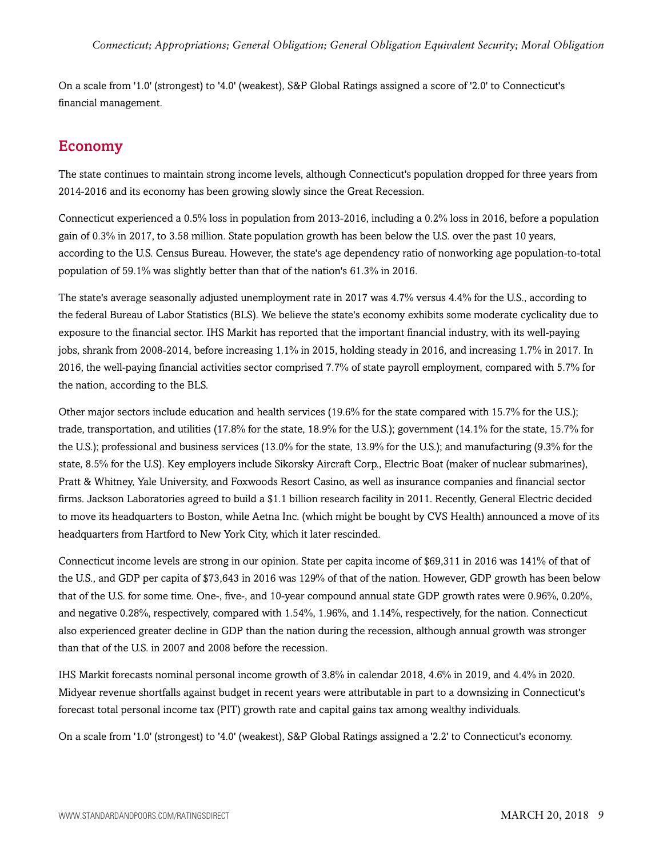On a scale from '1.0' (strongest) to '4.0' (weakest), S&P Global Ratings assigned a score of '2.0' to Connecticut's financial management.

# <span id="page-8-0"></span>Economy

The state continues to maintain strong income levels, although Connecticut's population dropped for three years from 2014-2016 and its economy has been growing slowly since the Great Recession.

Connecticut experienced a 0.5% loss in population from 2013-2016, including a 0.2% loss in 2016, before a population gain of 0.3% in 2017, to 3.58 million. State population growth has been below the U.S. over the past 10 years, according to the U.S. Census Bureau. However, the state's age dependency ratio of nonworking age population-to-total population of 59.1% was slightly better than that of the nation's 61.3% in 2016.

The state's average seasonally adjusted unemployment rate in 2017 was 4.7% versus 4.4% for the U.S., according to the federal Bureau of Labor Statistics (BLS). We believe the state's economy exhibits some moderate cyclicality due to exposure to the financial sector. IHS Markit has reported that the important financial industry, with its well-paying jobs, shrank from 2008-2014, before increasing 1.1% in 2015, holding steady in 2016, and increasing 1.7% in 2017. In 2016, the well-paying financial activities sector comprised 7.7% of state payroll employment, compared with 5.7% for the nation, according to the BLS.

Other major sectors include education and health services (19.6% for the state compared with 15.7% for the U.S.); trade, transportation, and utilities (17.8% for the state, 18.9% for the U.S.); government (14.1% for the state, 15.7% for the U.S.); professional and business services (13.0% for the state, 13.9% for the U.S.); and manufacturing (9.3% for the state, 8.5% for the U.S). Key employers include Sikorsky Aircraft Corp., Electric Boat (maker of nuclear submarines), Pratt & Whitney, Yale University, and Foxwoods Resort Casino, as well as insurance companies and financial sector firms. Jackson Laboratories agreed to build a \$1.1 billion research facility in 2011. Recently, General Electric decided to move its headquarters to Boston, while Aetna Inc. (which might be bought by CVS Health) announced a move of its headquarters from Hartford to New York City, which it later rescinded.

Connecticut income levels are strong in our opinion. State per capita income of \$69,311 in 2016 was 141% of that of the U.S., and GDP per capita of \$73,643 in 2016 was 129% of that of the nation. However, GDP growth has been below that of the U.S. for some time. One-, five-, and 10-year compound annual state GDP growth rates were 0.96%, 0.20%, and negative 0.28%, respectively, compared with 1.54%, 1.96%, and 1.14%, respectively, for the nation. Connecticut also experienced greater decline in GDP than the nation during the recession, although annual growth was stronger than that of the U.S. in 2007 and 2008 before the recession.

IHS Markit forecasts nominal personal income growth of 3.8% in calendar 2018, 4.6% in 2019, and 4.4% in 2020. Midyear revenue shortfalls against budget in recent years were attributable in part to a downsizing in Connecticut's forecast total personal income tax (PIT) growth rate and capital gains tax among wealthy individuals.

On a scale from '1.0' (strongest) to '4.0' (weakest), S&P Global Ratings assigned a '2.2' to Connecticut's economy.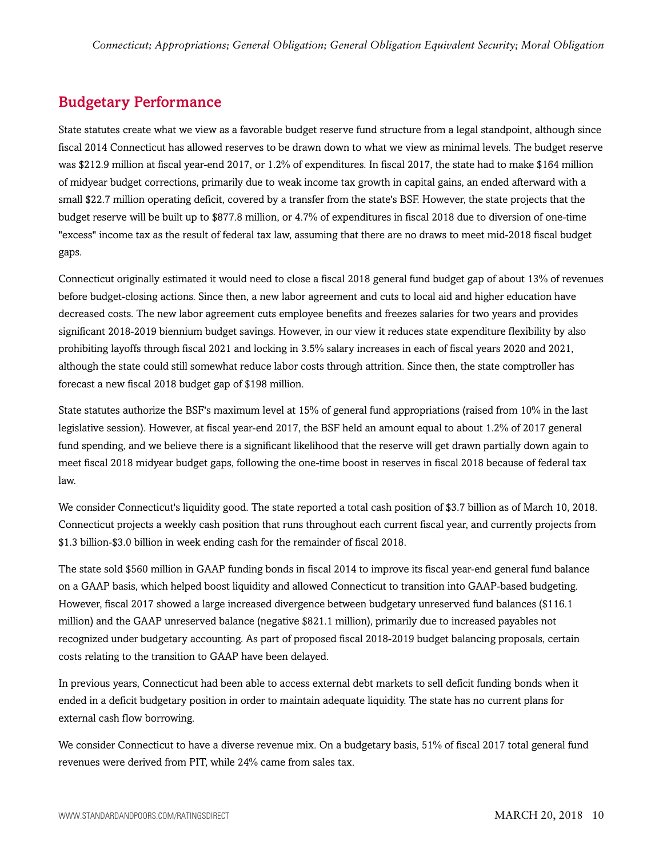# <span id="page-9-0"></span>Budgetary Performance

State statutes create what we view as a favorable budget reserve fund structure from a legal standpoint, although since fiscal 2014 Connecticut has allowed reserves to be drawn down to what we view as minimal levels. The budget reserve was \$212.9 million at fiscal year-end 2017, or 1.2% of expenditures. In fiscal 2017, the state had to make \$164 million of midyear budget corrections, primarily due to weak income tax growth in capital gains, an ended afterward with a small \$22.7 million operating deficit, covered by a transfer from the state's BSF. However, the state projects that the budget reserve will be built up to \$877.8 million, or 4.7% of expenditures in fiscal 2018 due to diversion of one-time "excess" income tax as the result of federal tax law, assuming that there are no draws to meet mid-2018 fiscal budget gaps.

Connecticut originally estimated it would need to close a fiscal 2018 general fund budget gap of about 13% of revenues before budget-closing actions. Since then, a new labor agreement and cuts to local aid and higher education have decreased costs. The new labor agreement cuts employee benefits and freezes salaries for two years and provides significant 2018-2019 biennium budget savings. However, in our view it reduces state expenditure flexibility by also prohibiting layoffs through fiscal 2021 and locking in 3.5% salary increases in each of fiscal years 2020 and 2021, although the state could still somewhat reduce labor costs through attrition. Since then, the state comptroller has forecast a new fiscal 2018 budget gap of \$198 million.

State statutes authorize the BSF's maximum level at 15% of general fund appropriations (raised from 10% in the last legislative session). However, at fiscal year-end 2017, the BSF held an amount equal to about 1.2% of 2017 general fund spending, and we believe there is a significant likelihood that the reserve will get drawn partially down again to meet fiscal 2018 midyear budget gaps, following the one-time boost in reserves in fiscal 2018 because of federal tax law.

We consider Connecticut's liquidity good. The state reported a total cash position of \$3.7 billion as of March 10, 2018. Connecticut projects a weekly cash position that runs throughout each current fiscal year, and currently projects from \$1.3 billion-\$3.0 billion in week ending cash for the remainder of fiscal 2018.

The state sold \$560 million in GAAP funding bonds in fiscal 2014 to improve its fiscal year-end general fund balance on a GAAP basis, which helped boost liquidity and allowed Connecticut to transition into GAAP-based budgeting. However, fiscal 2017 showed a large increased divergence between budgetary unreserved fund balances (\$116.1 million) and the GAAP unreserved balance (negative \$821.1 million), primarily due to increased payables not recognized under budgetary accounting. As part of proposed fiscal 2018-2019 budget balancing proposals, certain costs relating to the transition to GAAP have been delayed.

In previous years, Connecticut had been able to access external debt markets to sell deficit funding bonds when it ended in a deficit budgetary position in order to maintain adequate liquidity. The state has no current plans for external cash flow borrowing.

We consider Connecticut to have a diverse revenue mix. On a budgetary basis, 51% of fiscal 2017 total general fund revenues were derived from PIT, while 24% came from sales tax.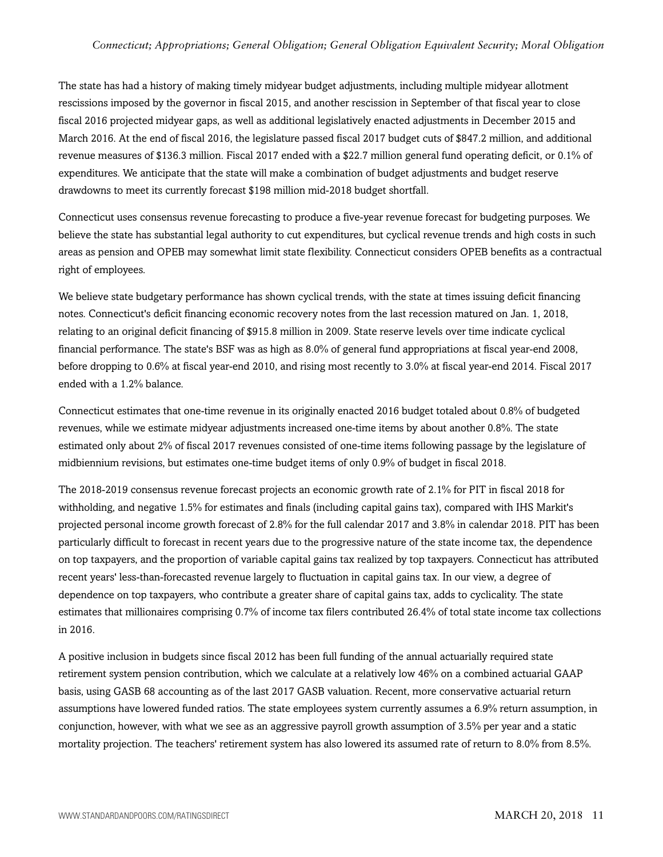#### *Connecticut; Appropriations; General Obligation; General Obligation Equivalent Security; Moral Obligation*

The state has had a history of making timely midyear budget adjustments, including multiple midyear allotment rescissions imposed by the governor in fiscal 2015, and another rescission in September of that fiscal year to close fiscal 2016 projected midyear gaps, as well as additional legislatively enacted adjustments in December 2015 and March 2016. At the end of fiscal 2016, the legislature passed fiscal 2017 budget cuts of \$847.2 million, and additional revenue measures of \$136.3 million. Fiscal 2017 ended with a \$22.7 million general fund operating deficit, or 0.1% of expenditures. We anticipate that the state will make a combination of budget adjustments and budget reserve drawdowns to meet its currently forecast \$198 million mid-2018 budget shortfall.

Connecticut uses consensus revenue forecasting to produce a five-year revenue forecast for budgeting purposes. We believe the state has substantial legal authority to cut expenditures, but cyclical revenue trends and high costs in such areas as pension and OPEB may somewhat limit state flexibility. Connecticut considers OPEB benefits as a contractual right of employees.

We believe state budgetary performance has shown cyclical trends, with the state at times issuing deficit financing notes. Connecticut's deficit financing economic recovery notes from the last recession matured on Jan. 1, 2018, relating to an original deficit financing of \$915.8 million in 2009. State reserve levels over time indicate cyclical financial performance. The state's BSF was as high as 8.0% of general fund appropriations at fiscal year-end 2008, before dropping to 0.6% at fiscal year-end 2010, and rising most recently to 3.0% at fiscal year-end 2014. Fiscal 2017 ended with a 1.2% balance.

Connecticut estimates that one-time revenue in its originally enacted 2016 budget totaled about 0.8% of budgeted revenues, while we estimate midyear adjustments increased one-time items by about another 0.8%. The state estimated only about 2% of fiscal 2017 revenues consisted of one-time items following passage by the legislature of midbiennium revisions, but estimates one-time budget items of only 0.9% of budget in fiscal 2018.

The 2018-2019 consensus revenue forecast projects an economic growth rate of 2.1% for PIT in fiscal 2018 for withholding, and negative 1.5% for estimates and finals (including capital gains tax), compared with IHS Markit's projected personal income growth forecast of 2.8% for the full calendar 2017 and 3.8% in calendar 2018. PIT has been particularly difficult to forecast in recent years due to the progressive nature of the state income tax, the dependence on top taxpayers, and the proportion of variable capital gains tax realized by top taxpayers. Connecticut has attributed recent years' less-than-forecasted revenue largely to fluctuation in capital gains tax. In our view, a degree of dependence on top taxpayers, who contribute a greater share of capital gains tax, adds to cyclicality. The state estimates that millionaires comprising 0.7% of income tax filers contributed 26.4% of total state income tax collections in 2016.

A positive inclusion in budgets since fiscal 2012 has been full funding of the annual actuarially required state retirement system pension contribution, which we calculate at a relatively low 46% on a combined actuarial GAAP basis, using GASB 68 accounting as of the last 2017 GASB valuation. Recent, more conservative actuarial return assumptions have lowered funded ratios. The state employees system currently assumes a 6.9% return assumption, in conjunction, however, with what we see as an aggressive payroll growth assumption of 3.5% per year and a static mortality projection. The teachers' retirement system has also lowered its assumed rate of return to 8.0% from 8.5%.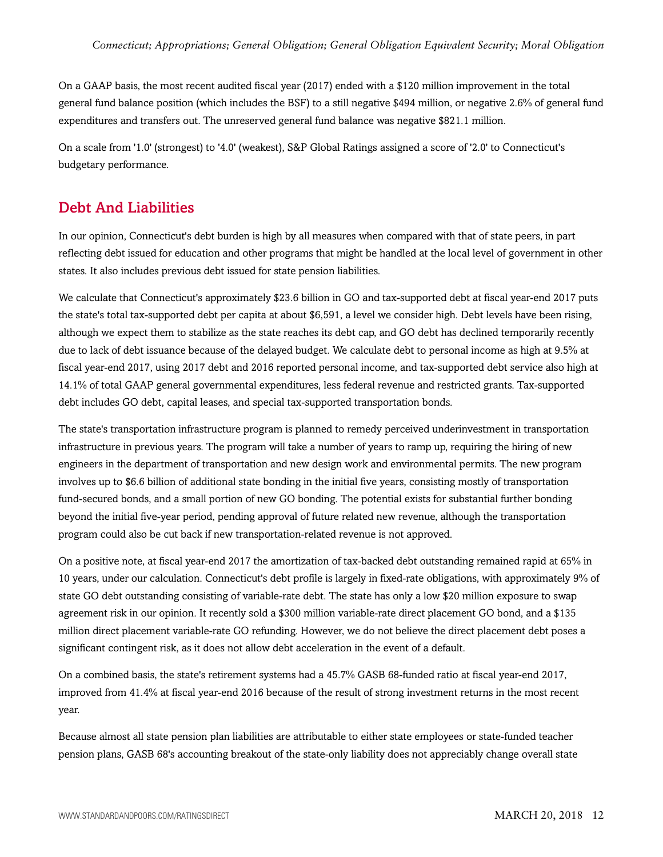On a GAAP basis, the most recent audited fiscal year (2017) ended with a \$120 million improvement in the total general fund balance position (which includes the BSF) to a still negative \$494 million, or negative 2.6% of general fund expenditures and transfers out. The unreserved general fund balance was negative \$821.1 million.

On a scale from '1.0' (strongest) to '4.0' (weakest), S&P Global Ratings assigned a score of '2.0' to Connecticut's budgetary performance.

### <span id="page-11-0"></span>Debt And Liabilities

In our opinion, Connecticut's debt burden is high by all measures when compared with that of state peers, in part reflecting debt issued for education and other programs that might be handled at the local level of government in other states. It also includes previous debt issued for state pension liabilities.

We calculate that Connecticut's approximately \$23.6 billion in GO and tax-supported debt at fiscal year-end 2017 puts the state's total tax-supported debt per capita at about \$6,591, a level we consider high. Debt levels have been rising, although we expect them to stabilize as the state reaches its debt cap, and GO debt has declined temporarily recently due to lack of debt issuance because of the delayed budget. We calculate debt to personal income as high at 9.5% at fiscal year-end 2017, using 2017 debt and 2016 reported personal income, and tax-supported debt service also high at 14.1% of total GAAP general governmental expenditures, less federal revenue and restricted grants. Tax-supported debt includes GO debt, capital leases, and special tax-supported transportation bonds.

The state's transportation infrastructure program is planned to remedy perceived underinvestment in transportation infrastructure in previous years. The program will take a number of years to ramp up, requiring the hiring of new engineers in the department of transportation and new design work and environmental permits. The new program involves up to \$6.6 billion of additional state bonding in the initial five years, consisting mostly of transportation fund-secured bonds, and a small portion of new GO bonding. The potential exists for substantial further bonding beyond the initial five-year period, pending approval of future related new revenue, although the transportation program could also be cut back if new transportation-related revenue is not approved.

On a positive note, at fiscal year-end 2017 the amortization of tax-backed debt outstanding remained rapid at 65% in 10 years, under our calculation. Connecticut's debt profile is largely in fixed-rate obligations, with approximately 9% of state GO debt outstanding consisting of variable-rate debt. The state has only a low \$20 million exposure to swap agreement risk in our opinion. It recently sold a \$300 million variable-rate direct placement GO bond, and a \$135 million direct placement variable-rate GO refunding. However, we do not believe the direct placement debt poses a significant contingent risk, as it does not allow debt acceleration in the event of a default.

On a combined basis, the state's retirement systems had a 45.7% GASB 68-funded ratio at fiscal year-end 2017, improved from 41.4% at fiscal year-end 2016 because of the result of strong investment returns in the most recent year.

Because almost all state pension plan liabilities are attributable to either state employees or state-funded teacher pension plans, GASB 68's accounting breakout of the state-only liability does not appreciably change overall state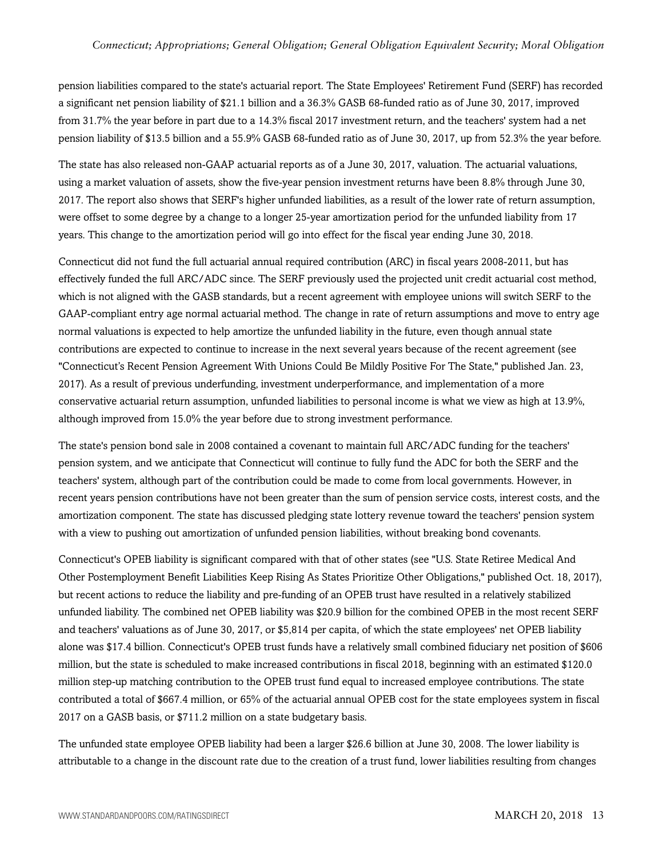pension liabilities compared to the state's actuarial report. The State Employees' Retirement Fund (SERF) has recorded a significant net pension liability of \$21.1 billion and a 36.3% GASB 68-funded ratio as of June 30, 2017, improved from 31.7% the year before in part due to a 14.3% fiscal 2017 investment return, and the teachers' system had a net pension liability of \$13.5 billion and a 55.9% GASB 68-funded ratio as of June 30, 2017, up from 52.3% the year before.

The state has also released non-GAAP actuarial reports as of a June 30, 2017, valuation. The actuarial valuations, using a market valuation of assets, show the five-year pension investment returns have been 8.8% through June 30, 2017. The report also shows that SERF's higher unfunded liabilities, as a result of the lower rate of return assumption, were offset to some degree by a change to a longer 25-year amortization period for the unfunded liability from 17 years. This change to the amortization period will go into effect for the fiscal year ending June 30, 2018.

Connecticut did not fund the full actuarial annual required contribution (ARC) in fiscal years 2008-2011, but has effectively funded the full ARC/ADC since. The SERF previously used the projected unit credit actuarial cost method, which is not aligned with the GASB standards, but a recent agreement with employee unions will switch SERF to the GAAP-compliant entry age normal actuarial method. The change in rate of return assumptions and move to entry age normal valuations is expected to help amortize the unfunded liability in the future, even though annual state contributions are expected to continue to increase in the next several years because of the recent agreement (see "Connecticut's Recent Pension Agreement With Unions Could Be Mildly Positive For The State," published Jan. 23, 2017). As a result of previous underfunding, investment underperformance, and implementation of a more conservative actuarial return assumption, unfunded liabilities to personal income is what we view as high at 13.9%, although improved from 15.0% the year before due to strong investment performance.

The state's pension bond sale in 2008 contained a covenant to maintain full ARC/ADC funding for the teachers' pension system, and we anticipate that Connecticut will continue to fully fund the ADC for both the SERF and the teachers' system, although part of the contribution could be made to come from local governments. However, in recent years pension contributions have not been greater than the sum of pension service costs, interest costs, and the amortization component. The state has discussed pledging state lottery revenue toward the teachers' pension system with a view to pushing out amortization of unfunded pension liabilities, without breaking bond covenants.

Connecticut's OPEB liability is significant compared with that of other states (see "U.S. State Retiree Medical And Other Postemployment Benefit Liabilities Keep Rising As States Prioritize Other Obligations," published Oct. 18, 2017), but recent actions to reduce the liability and pre-funding of an OPEB trust have resulted in a relatively stabilized unfunded liability. The combined net OPEB liability was \$20.9 billion for the combined OPEB in the most recent SERF and teachers' valuations as of June 30, 2017, or \$5,814 per capita, of which the state employees' net OPEB liability alone was \$17.4 billion. Connecticut's OPEB trust funds have a relatively small combined fiduciary net position of \$606 million, but the state is scheduled to make increased contributions in fiscal 2018, beginning with an estimated \$120.0 million step-up matching contribution to the OPEB trust fund equal to increased employee contributions. The state contributed a total of \$667.4 million, or 65% of the actuarial annual OPEB cost for the state employees system in fiscal 2017 on a GASB basis, or \$711.2 million on a state budgetary basis.

The unfunded state employee OPEB liability had been a larger \$26.6 billion at June 30, 2008. The lower liability is attributable to a change in the discount rate due to the creation of a trust fund, lower liabilities resulting from changes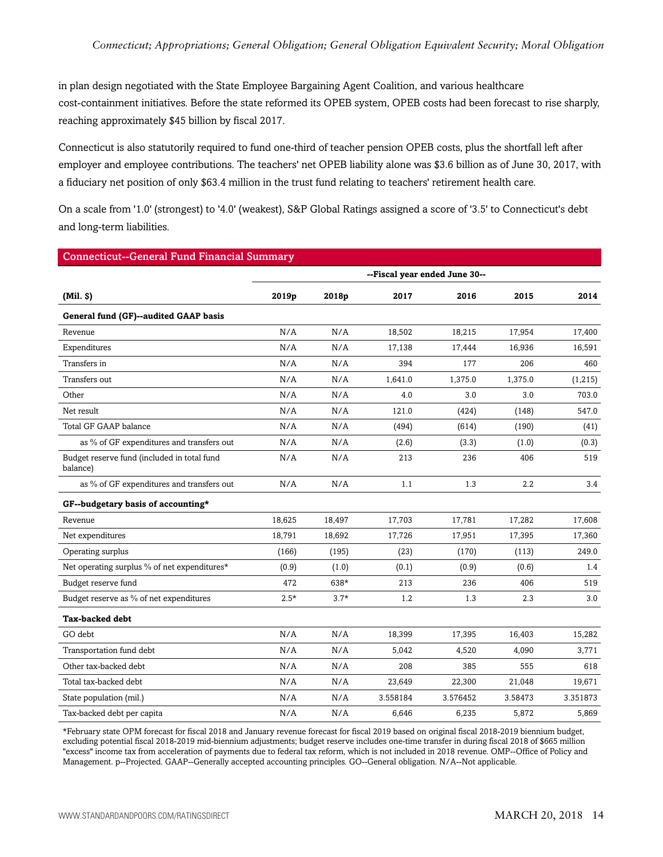in plan design negotiated with the State Employee Bargaining Agent Coalition, and various healthcare cost-containment initiatives. Before the state reformed its OPEB system, OPEB costs had been forecast to rise sharply, reaching approximately \$45 billion by fiscal 2017.

Connecticut is also statutorily required to fund one-third of teacher pension OPEB costs, plus the shortfall left after employer and employee contributions. The teachers' net OPEB liability alone was \$3.6 billion as of June 30, 2017, with a fiduciary net position of only \$63.4 million in the trust fund relating to teachers' retirement health care.

On a scale from '1.0' (strongest) to '4.0' (weakest), S&P Global Ratings assigned a score of '3.5' to Connecticut's debt and long-term liabilities.

| <b>Connecticut--General Fund Financial Summary</b>      |                               |        |          |          |         |          |
|---------------------------------------------------------|-------------------------------|--------|----------|----------|---------|----------|
|                                                         | --Fiscal year ended June 30-- |        |          |          |         |          |
| (Mil. S)                                                | 2019p                         | 2018p  | 2017     | 2016     | 2015    | 2014     |
| General fund (GF)--audited GAAP basis                   |                               |        |          |          |         |          |
| Revenue                                                 | N/A                           | N/A    | 18,502   | 18,215   | 17,954  | 17,400   |
| Expenditures                                            | N/A                           | N/A    | 17,138   | 17,444   | 16,936  | 16,591   |
| Transfers in                                            | N/A                           | N/A    | 394      | 177      | 206     | 460      |
| Transfers out                                           | N/A                           | N/A    | 1,641.0  | 1,375.0  | 1,375.0 | (1,215)  |
| Other                                                   | N/A                           | N/A    | 4.0      | 3.0      | 3.0     | 703.0    |
| Net result                                              | N/A                           | N/A    | 121.0    | (424)    | (148)   | 547.0    |
| Total GF GAAP balance                                   | N/A                           | N/A    | (494)    | (614)    | (190)   | (41)     |
| as % of GF expenditures and transfers out               | N/A                           | N/A    | (2.6)    | (3.3)    | (1.0)   | (0.3)    |
| Budget reserve fund (included in total fund<br>balance) | N/A                           | N/A    | 213      | 236      | 406     | 519      |
| as % of GF expenditures and transfers out               | N/A                           | N/A    | 1.1      | 1.3      | 2.2     | 3.4      |
| GF--budgetary basis of accounting*                      |                               |        |          |          |         |          |
| Revenue                                                 | 18,625                        | 18,497 | 17,703   | 17,781   | 17,282  | 17,608   |
| Net expenditures                                        | 18,791                        | 18,692 | 17,726   | 17,951   | 17,395  | 17,360   |
| Operating surplus                                       | (166)                         | (195)  | (23)     | (170)    | (113)   | 249.0    |
| Net operating surplus % of net expenditures*            | (0.9)                         | (1.0)  | (0.1)    | (0.9)    | (0.6)   | 1.4      |
| Budget reserve fund                                     | 472                           | 638*   | 213      | 236      | 406     | 519      |
| Budget reserve as % of net expenditures                 | $2.5*$                        | $3.7*$ | 1.2      | 1.3      | 2.3     | 3.0      |
| <b>Tax-backed debt</b>                                  |                               |        |          |          |         |          |
| GO debt                                                 | N/A                           | N/A    | 18,399   | 17,395   | 16,403  | 15,282   |
| Transportation fund debt                                | N/A                           | N/A    | 5,042    | 4,520    | 4,090   | 3,771    |
| Other tax-backed debt                                   | N/A                           | N/A    | 208      | 385      | 555     | 618      |
| Total tax-backed debt                                   | N/A                           | N/A    | 23,649   | 22,300   | 21,048  | 19,671   |
| State population (mil.)                                 | N/A                           | N/A    | 3.558184 | 3.576452 | 3.58473 | 3.351873 |
| Tax-backed debt per capita                              | N/A                           | N/A    | 6,646    | 6,235    | 5,872   | 5,869    |

\*February state OPM forecast for fiscal 2018 and January revenue forecast for fiscal 2019 based on original fiscal 2018-2019 biennium budget, excluding potential fiscal 2018-2019 mid-biennium adjustments; budget reserve includes one-time transfer in during fiscal 2018 of \$665 million "excess" income tax from acceleration of payments due to federal tax reform, which is not included in 2018 revenue. OMP--Office of Policy and Management. p--Projected. GAAP--Generally accepted accounting principles. GO--General obligation. N/A--Not applicable.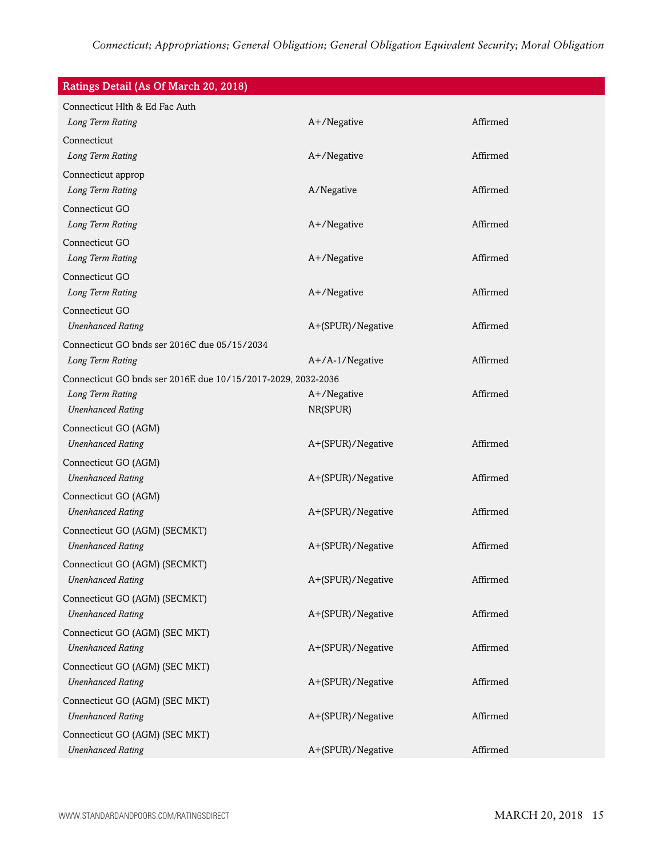| Ratings Detail (As Of March 20, 2018)                        |                   |          |
|--------------------------------------------------------------|-------------------|----------|
| Connecticut Hlth & Ed Fac Auth                               |                   |          |
| Long Term Rating                                             | A+/Negative       | Affirmed |
| Connecticut                                                  |                   |          |
| Long Term Rating                                             | A+/Negative       | Affirmed |
| Connecticut approp                                           |                   |          |
| Long Term Rating                                             | A/Negative        | Affirmed |
| Connecticut GO                                               |                   |          |
| Long Term Rating                                             | A+/Negative       | Affirmed |
| Connecticut GO                                               |                   |          |
| Long Term Rating                                             | A+/Negative       | Affirmed |
| Connecticut GO                                               |                   |          |
| Long Term Rating                                             | A+/Negative       | Affirmed |
| Connecticut GO                                               |                   |          |
| <b>Unenhanced Rating</b>                                     | A+(SPUR)/Negative | Affirmed |
| Connecticut GO bnds ser 2016C due 05/15/2034                 |                   |          |
| Long Term Rating                                             | A+/A-1/Negative   | Affirmed |
| Connecticut GO bnds ser 2016E due 10/15/2017-2029, 2032-2036 |                   |          |
| Long Term Rating                                             | A+/Negative       | Affirmed |
| <b>Unenhanced Rating</b>                                     | NR(SPUR)          |          |
| Connecticut GO (AGM)                                         |                   |          |
| <b>Unenhanced Rating</b>                                     | A+(SPUR)/Negative | Affirmed |
| Connecticut GO (AGM)                                         |                   |          |
| <b>Unenhanced Rating</b>                                     | A+(SPUR)/Negative | Affirmed |
| Connecticut GO (AGM)                                         |                   |          |
| <b>Unenhanced Rating</b>                                     | A+(SPUR)/Negative | Affirmed |
| Connecticut GO (AGM) (SECMKT)                                |                   |          |
| <b>Unenhanced Rating</b>                                     | A+(SPUR)/Negative | Affirmed |
| Connecticut GO (AGM) (SECMKT)                                |                   |          |
| <b>Unenhanced Rating</b>                                     | A+(SPUR)/Negative | Affirmed |
| Connecticut GO (AGM) (SECMKT)                                |                   |          |
| <b>Unenhanced Rating</b>                                     | A+(SPUR)/Negative | Affirmed |
| Connecticut GO (AGM) (SEC MKT)                               |                   |          |
| <b>Unenhanced Rating</b>                                     | A+(SPUR)/Negative | Affirmed |
| Connecticut GO (AGM) (SEC MKT)                               |                   |          |
| <b>Unenhanced Rating</b>                                     | A+(SPUR)/Negative | Affirmed |
| Connecticut GO (AGM) (SEC MKT)                               |                   |          |
| <b>Unenhanced Rating</b>                                     | A+(SPUR)/Negative | Affirmed |
| Connecticut GO (AGM) (SEC MKT)                               |                   |          |
| <b>Unenhanced Rating</b>                                     | A+(SPUR)/Negative | Affirmed |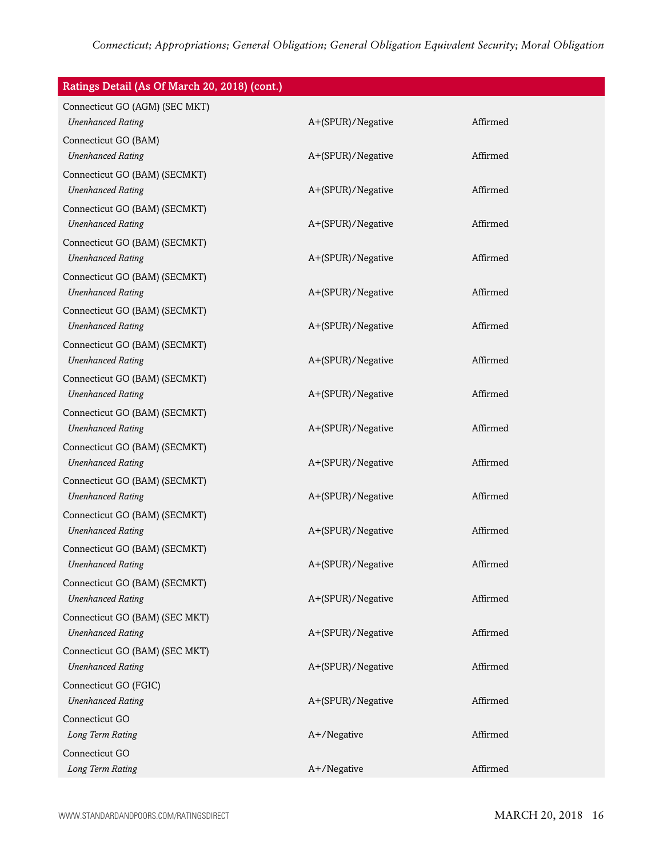| Ratings Detail (As Of March 20, 2018) (cont.) |                   |          |
|-----------------------------------------------|-------------------|----------|
| Connecticut GO (AGM) (SEC MKT)                |                   |          |
| <b>Unenhanced Rating</b>                      | A+(SPUR)/Negative | Affirmed |
| Connecticut GO (BAM)                          |                   |          |
| <b>Unenhanced Rating</b>                      | A+(SPUR)/Negative | Affirmed |
| Connecticut GO (BAM) (SECMKT)                 |                   |          |
| <b>Unenhanced Rating</b>                      | A+(SPUR)/Negative | Affirmed |
| Connecticut GO (BAM) (SECMKT)                 |                   |          |
| <b>Unenhanced Rating</b>                      | A+(SPUR)/Negative | Affirmed |
| Connecticut GO (BAM) (SECMKT)                 |                   |          |
| <b>Unenhanced Rating</b>                      | A+(SPUR)/Negative | Affirmed |
| Connecticut GO (BAM) (SECMKT)                 |                   |          |
| <b>Unenhanced Rating</b>                      | A+(SPUR)/Negative | Affirmed |
| Connecticut GO (BAM) (SECMKT)                 |                   |          |
| <b>Unenhanced Rating</b>                      | A+(SPUR)/Negative | Affirmed |
| Connecticut GO (BAM) (SECMKT)                 |                   |          |
| <b>Unenhanced Rating</b>                      | A+(SPUR)/Negative | Affirmed |
| Connecticut GO (BAM) (SECMKT)                 |                   |          |
| <b>Unenhanced Rating</b>                      | A+(SPUR)/Negative | Affirmed |
| Connecticut GO (BAM) (SECMKT)                 |                   |          |
| <b>Unenhanced Rating</b>                      | A+(SPUR)/Negative | Affirmed |
| Connecticut GO (BAM) (SECMKT)                 |                   |          |
| <b>Unenhanced Rating</b>                      | A+(SPUR)/Negative | Affirmed |
| Connecticut GO (BAM) (SECMKT)                 |                   |          |
| <b>Unenhanced Rating</b>                      | A+(SPUR)/Negative | Affirmed |
| Connecticut GO (BAM) (SECMKT)                 |                   |          |
| <b>Unenhanced Rating</b>                      | A+(SPUR)/Negative | Affirmed |
| Connecticut GO (BAM) (SECMKT)                 |                   |          |
| <b>Unenhanced Rating</b>                      | A+(SPUR)/Negative | Affirmed |
| Connecticut GO (BAM) (SECMKT)                 |                   |          |
| <b>Unenhanced Rating</b>                      | A+(SPUR)/Negative | Affirmed |
| Connecticut GO (BAM) (SEC MKT)                |                   |          |
| <b>Unenhanced Rating</b>                      | A+(SPUR)/Negative | Affirmed |
| Connecticut GO (BAM) (SEC MKT)                |                   |          |
| <b>Unenhanced Rating</b>                      | A+(SPUR)/Negative | Affirmed |
| Connecticut GO (FGIC)                         |                   |          |
| <b>Unenhanced Rating</b>                      | A+(SPUR)/Negative | Affirmed |
| Connecticut GO                                |                   |          |
| Long Term Rating                              | A+/Negative       | Affirmed |
| Connecticut GO                                |                   |          |
| Long Term Rating                              | A+/Negative       | Affirmed |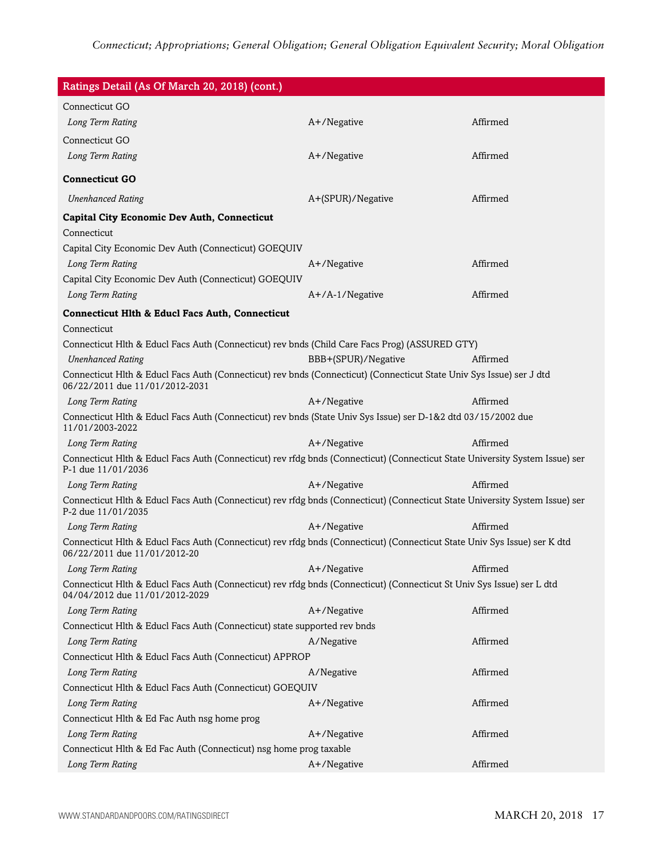| Ratings Detail (As Of March 20, 2018) (cont.)                                                                                                             |                     |          |
|-----------------------------------------------------------------------------------------------------------------------------------------------------------|---------------------|----------|
| Connecticut GO                                                                                                                                            |                     |          |
| Long Term Rating                                                                                                                                          | A+/Negative         | Affirmed |
| Connecticut GO                                                                                                                                            |                     |          |
| Long Term Rating                                                                                                                                          | A+/Negative         | Affirmed |
| <b>Connecticut GO</b>                                                                                                                                     |                     |          |
| <b>Unenhanced Rating</b>                                                                                                                                  | A+(SPUR)/Negative   | Affirmed |
| <b>Capital City Economic Dev Auth, Connecticut</b>                                                                                                        |                     |          |
| Connecticut                                                                                                                                               |                     |          |
| Capital City Economic Dev Auth (Connecticut) GOEQUIV                                                                                                      |                     |          |
| Long Term Rating                                                                                                                                          | A+/Negative         | Affirmed |
| Capital City Economic Dev Auth (Connecticut) GOEQUIV                                                                                                      |                     |          |
| Long Term Rating                                                                                                                                          | $A+/A-1/N$ egative  | Affirmed |
| <b>Connecticut Hlth &amp; Educl Facs Auth, Connecticut</b>                                                                                                |                     |          |
| Connecticut                                                                                                                                               |                     |          |
| Connecticut Hlth & Educl Facs Auth (Connecticut) rev bnds (Child Care Facs Prog) (ASSURED GTY)                                                            |                     |          |
| <b>Unenhanced Rating</b>                                                                                                                                  | BBB+(SPUR)/Negative | Affirmed |
| Connecticut Hlth & Educl Facs Auth (Connecticut) rev bnds (Connecticut) (Connecticut State Univ Sys Issue) ser J dtd<br>06/22/2011 due 11/01/2012-2031    |                     |          |
| Long Term Rating                                                                                                                                          | A+/Negative         | Affirmed |
| Connecticut Hlth & Educl Facs Auth (Connecticut) rev bnds (State Univ Sys Issue) ser D-1&2 dtd 03/15/2002 due<br>11/01/2003-2022                          |                     |          |
| Long Term Rating                                                                                                                                          | A+/Negative         | Affirmed |
| Connecticut Hlth & Educl Facs Auth (Connecticut) rev rfdg bnds (Connecticut) (Connecticut State University System Issue) ser<br>P-1 due 11/01/2036        |                     |          |
| Long Term Rating                                                                                                                                          | A+/Negative         | Affirmed |
| Connecticut Hlth & Educl Facs Auth (Connecticut) rev rfdg bnds (Connecticut) (Connecticut State University System Issue) ser<br>P-2 due 11/01/2035        |                     |          |
| Long Term Rating                                                                                                                                          | A+/Negative         | Affirmed |
| Connecticut Hlth & Educl Facs Auth (Connecticut) rev rfdg bnds (Connecticut) (Connecticut State Univ Sys Issue) ser K dtd<br>06/22/2011 due 11/01/2012-20 |                     |          |
| Long Term Rating                                                                                                                                          | A+/Negative         | Affirmed |
| Connecticut Hlth & Educl Facs Auth (Connecticut) rev rfdg bnds (Connecticut) (Connecticut St Univ Sys Issue) ser L dtd<br>04/04/2012 due 11/01/2012-2029  |                     |          |
| Long Term Rating                                                                                                                                          | A+/Negative         | Affirmed |
| Connecticut Hlth & Educl Facs Auth (Connecticut) state supported rev bnds                                                                                 |                     |          |
| Long Term Rating                                                                                                                                          | A/Negative          | Affirmed |
| Connecticut HIth & Educl Facs Auth (Connecticut) APPROP                                                                                                   |                     |          |
| Long Term Rating                                                                                                                                          | A/Negative          | Affirmed |
| Connecticut Hlth & Educl Facs Auth (Connecticut) GOEQUIV                                                                                                  |                     |          |
| Long Term Rating                                                                                                                                          | A+/Negative         | Affirmed |
| Connecticut Hlth & Ed Fac Auth nsg home prog                                                                                                              |                     |          |
| Long Term Rating                                                                                                                                          | A+/Negative         | Affirmed |
| Connecticut Hlth & Ed Fac Auth (Connecticut) nsg home prog taxable                                                                                        |                     |          |
| Long Term Rating                                                                                                                                          | A+/Negative         | Affirmed |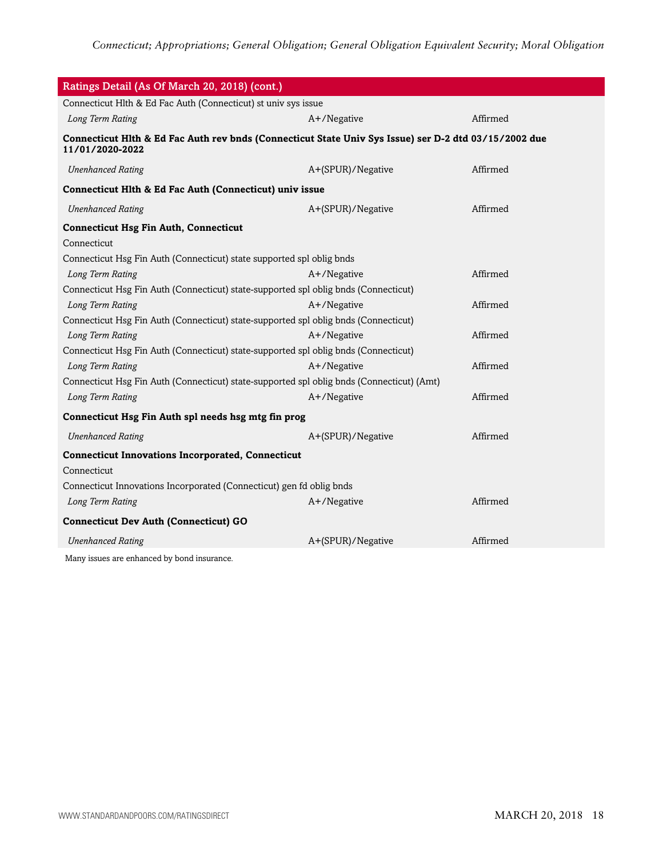| Ratings Detail (As Of March 20, 2018) (cont.)                                                                            |                   |          |  |
|--------------------------------------------------------------------------------------------------------------------------|-------------------|----------|--|
| Connecticut Hlth & Ed Fac Auth (Connecticut) st univ sys issue                                                           |                   |          |  |
| Long Term Rating                                                                                                         | A+/Negative       | Affirmed |  |
| Connecticut Hlth & Ed Fac Auth rev bnds (Connecticut State Univ Sys Issue) ser D-2 dtd 03/15/2002 due<br>11/01/2020-2022 |                   |          |  |
| <b>Unenhanced Rating</b>                                                                                                 | A+(SPUR)/Negative | Affirmed |  |
| Connecticut Hlth & Ed Fac Auth (Connecticut) univ issue                                                                  |                   |          |  |
| <b>Unenhanced Rating</b>                                                                                                 | A+(SPUR)/Negative | Affirmed |  |
| <b>Connecticut Hsg Fin Auth, Connecticut</b>                                                                             |                   |          |  |
| Connecticut                                                                                                              |                   |          |  |
| Connecticut Hsg Fin Auth (Connecticut) state supported spl oblig bnds                                                    |                   |          |  |
| Long Term Rating                                                                                                         | A+/Negative       | Affirmed |  |
| Connecticut Hsg Fin Auth (Connecticut) state-supported spl oblig bnds (Connecticut)                                      |                   |          |  |
| Long Term Rating                                                                                                         | A+/Negative       | Affirmed |  |
| Connecticut Hsg Fin Auth (Connecticut) state-supported spl oblig bnds (Connecticut)                                      |                   |          |  |
| Long Term Rating                                                                                                         | A+/Negative       | Affirmed |  |
| Connecticut Hsg Fin Auth (Connecticut) state-supported spl oblig bnds (Connecticut)                                      |                   |          |  |
| Long Term Rating                                                                                                         | A+/Negative       | Affirmed |  |
| Connecticut Hsg Fin Auth (Connecticut) state-supported spl oblig bnds (Connecticut) (Amt)                                |                   |          |  |
| Long Term Rating                                                                                                         | A+/Negative       | Affirmed |  |
| Connecticut Hsg Fin Auth spl needs hsg mtg fin prog                                                                      |                   |          |  |
| <b>Unenhanced Rating</b>                                                                                                 | A+(SPUR)/Negative | Affirmed |  |
| <b>Connecticut Innovations Incorporated, Connecticut</b>                                                                 |                   |          |  |
| Connecticut                                                                                                              |                   |          |  |
| Connecticut Innovations Incorporated (Connecticut) gen fd oblig bnds                                                     |                   |          |  |
| Long Term Rating                                                                                                         | A+/Negative       | Affirmed |  |
| <b>Connecticut Dev Auth (Connecticut) GO</b>                                                                             |                   |          |  |
| <b>Unenhanced Rating</b>                                                                                                 | A+(SPUR)/Negative | Affirmed |  |
| Many issues are enhanced by bond insurance                                                                               |                   |          |  |

Many issues are enhanced by bond insurance.